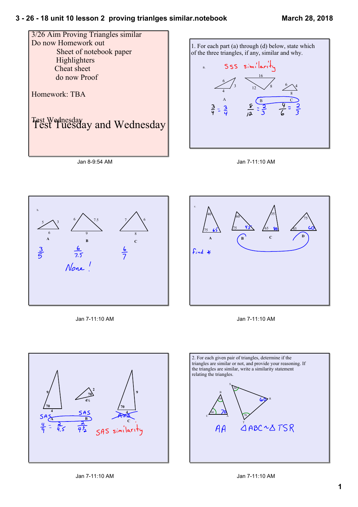



16

 $12 \times 8$  6

 $\sim$  4 8

3



Jan 7-11:10 AM



Jan 7-11:10 AM



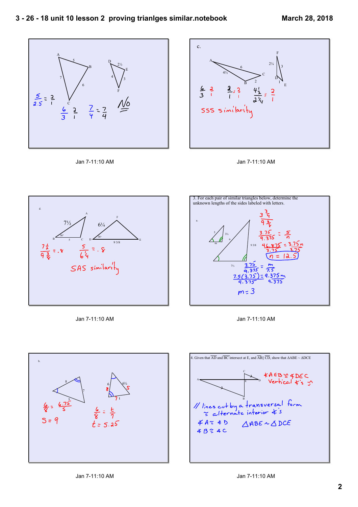









Jan 7-11:10 AM







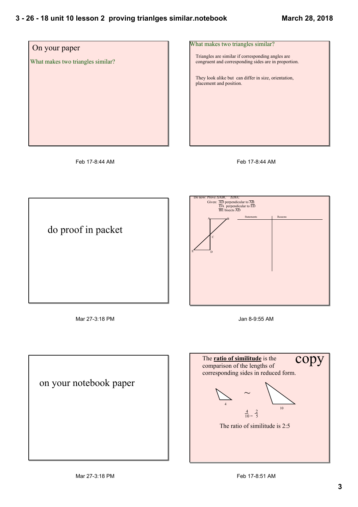

Feb 17-8:44 AM

Feb 17-8:44 AM



Mar 27-3:18 PM

Jan 8-9:55 AM



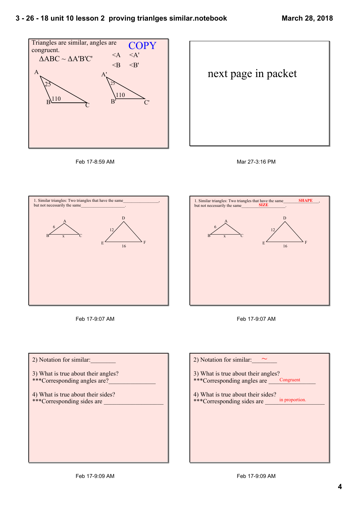







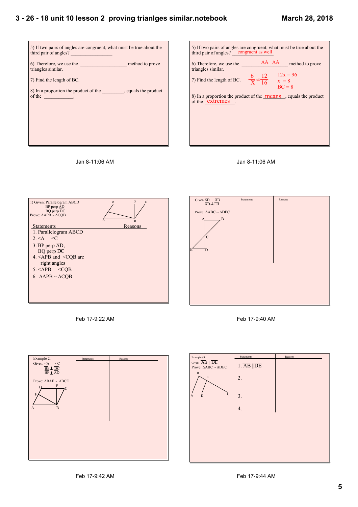









Feb 17-9:22 AM





Feb 17-9:40 AM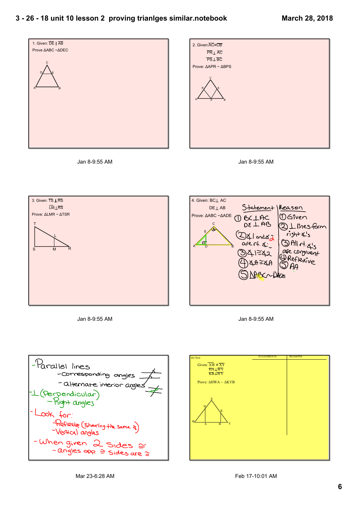









Jan 8-9:55 AM





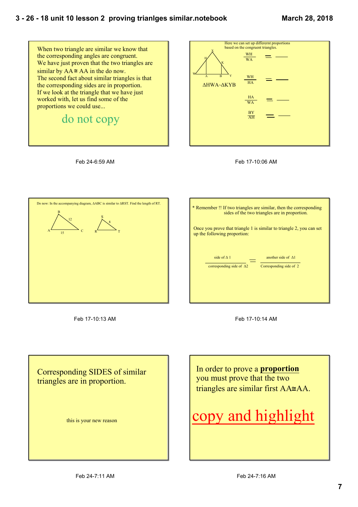







Feb 17-10:13 AM

| * Remember !! If two triangles are similar, then the corresponding<br>sides of the two triangles are in proportion. |
|---------------------------------------------------------------------------------------------------------------------|
| Once you prove that triangle 1 is similar to triangle 2, you can set<br>up the following proportion:                |
| side of $\Lambda$ 1<br>another side of $\Delta 1$<br>corresponding side of $\Delta 2$<br>Corresponding side of 2    |
|                                                                                                                     |



Corresponding SIDES of similar triangles are in proportion.

this is your new reason

In order to prove a **proportion** you must prove that the two triangles are similar first AA≅AA.

# copy and highlight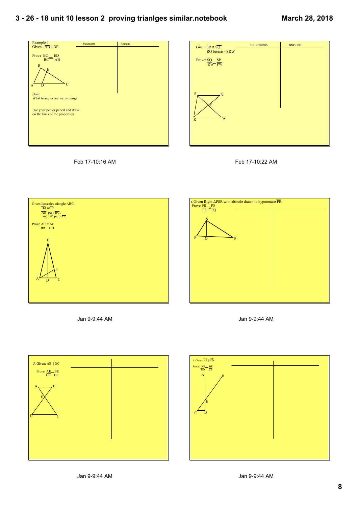









Jan 9-9:44 AM





Jan 9-9:44 AM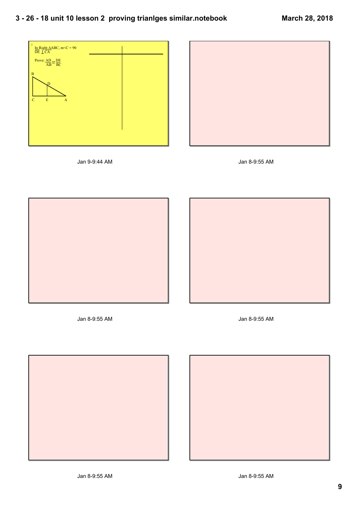



Jan 9-9:44 AM





Jan 89:55 AM Jan 89:55 AM





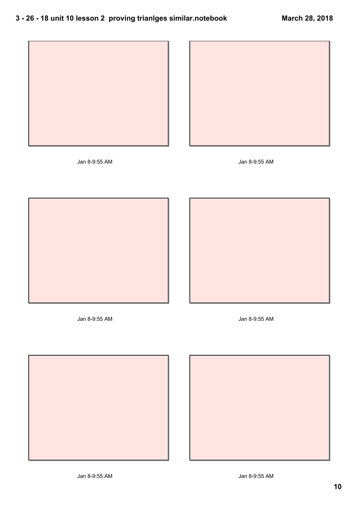